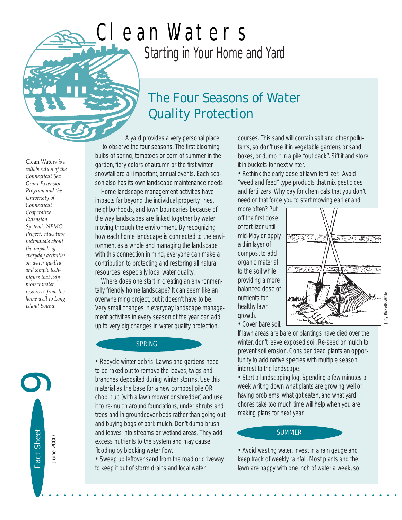# *Starting in Your Home and Yard* Clean Waters

# *The Four Seasons of Water Quality Protection*

A yard provides a very personal place to observe the four seasons. The first blooming bulbs of spring, tomatoes or corn of summer in the garden, fiery colors of autumn or the first winter snowfall are all important, annual events. Each season also has its own landscape maintenance needs.

Home landscape management activities have impacts far beyond the individual property lines, neighborhoods, and town boundaries because of the way landscapes are linked together by water moving through the environment. By recognizing how each home landscape is connected to the environment as a whole and managing the landscape with this connection in mind, everyone can make a contribution to protecting and restoring all natural resources, especially local water quality.

Where does one start in creating an environmentally friendly home landscape? It can seem like an overwhelming project, but it doesn't have to be. Very small changes in everyday landscape management activities in every season of the year can add up to very big changes in water quality protection.

SPRING

• Recycle winter debris. Lawns and gardens need to be raked out to remove the leaves, twigs and branches deposited during winter storms. Use this material as the base for a new compost pile OR chop it up (with a lawn mower or shredder) and use it to re-mulch around foundations, under shrubs and trees and in groundcover beds rather than going out and buying bags of bark mulch. Don't dump brush and leaves into streams or wetland areas. They add excess nutrients to the system and may cause flooding by blocking water flow.

• Sweep up leftover sand from the road or driveway to keep it out of storm drains and local water

• • • • • • • • • • • • • • • • • • • • • • • • • • • • • • • • • • • • • • • • • • • • • • • •

courses. This sand will contain salt and other pollutants, so don't use it in vegetable gardens or sand boxes, or dump it in a pile "out back". Sift it and store it in buckets for next winter.

• Rethink the early dose of lawn fertilizer. Avoid "weed and feed" type products that mix pesticides and fertilizers. Why pay for chemicals that you don't need or that force you to start mowing earlier and

more often? Put off the first dose of fertilizer until mid-May or apply a thin layer of compost to add organic material to the soil while providing a more balanced dose of nutrients for healthy lawn growth. • Cover bare soil.



If lawn areas are bare or plantings have died over the winter, don't leave exposed soil. Re-seed or mulch to prevent soil erosion. Consider dead plants an opportunity to add native species with multiple season interest to the landscape.

• Start a landscaping log. Spending a few minutes a week writing down what plants are growing well or having problems, what got eaten, and what yard chores take too much time will help when you are making plans for next year.

#### SUMMER

• Avoid wasting water. Invest in a rain gauge and keep track of weekly rainfall. Most plants and the lawn are happy with one inch of water a week, so

Clean Waters *is a collaboration of the Connecticut Sea Grant Extension Program and the University of Connecticut Cooperative Extension System's NEMO Project, educating individuals about the impacts of everyday activities on water quality and simple techniques that help protect water resources from the home well to Long Island Sound.* 

Judy Ricketts-White

Judy Ricketts-White

Fact Sheet Fact Sheet June 2000 June 2000

 $\bigcirc$